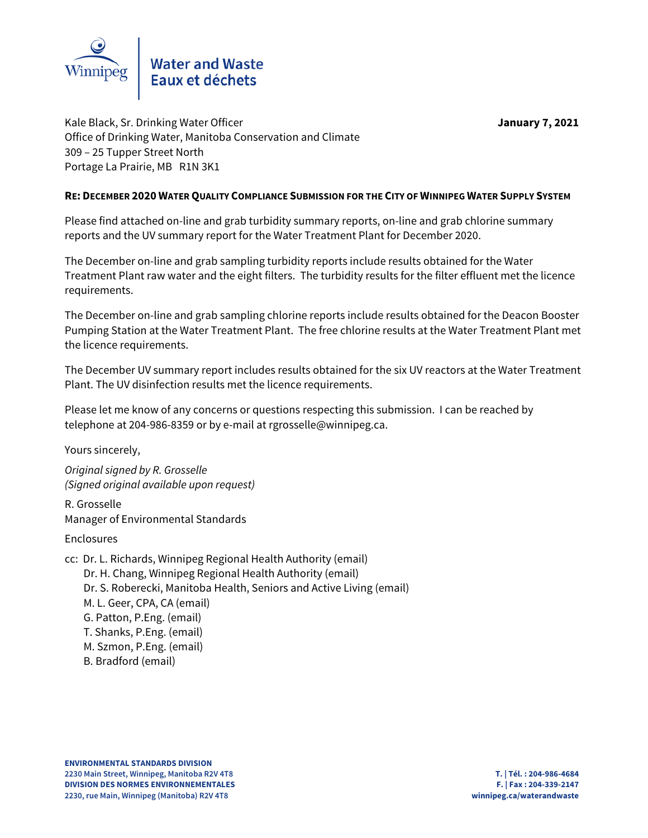

Kale Black, Sr. Drinking Water Officer **January 7, 2021** Office of Drinking Water, Manitoba Conservation and Climate 309 – 25 Tupper Street North Portage La Prairie, MB R1N 3K1

# **RE: DECEMBER 2020 WATER QUALITY COMPLIANCE SUBMISSION FOR THE CITY OF WINNIPEG WATER SUPPLY SYSTEM**

Please find attached on-line and grab turbidity summary reports, on-line and grab chlorine summary reports and the UV summary report for the Water Treatment Plant for December 2020.

The December on-line and grab sampling turbidity reports include results obtained for the Water Treatment Plant raw water and the eight filters. The turbidity results for the filter effluent met the licence requirements.

The December on-line and grab sampling chlorine reports include results obtained for the Deacon Booster Pumping Station at the Water Treatment Plant. The free chlorine results at the Water Treatment Plant met the licence requirements.

The December UV summary report includes results obtained for the six UV reactors at the Water Treatment Plant. The UV disinfection results met the licence requirements.

Please let me know of any concerns or questions respecting this submission. I can be reached by telephone at 204-986-8359 or by e-mail at rgrosselle@winnipeg.ca.

Yours sincerely,

Original signed by R. Grosselle (Signed original available upon request)

R. Grosselle Manager of Environmental Standards

Enclosures

- cc: Dr. L. Richards, Winnipeg Regional Health Authority (email) Dr. H. Chang, Winnipeg Regional Health Authority (email) Dr. S. Roberecki, Manitoba Health, Seniors and Active Living (email) M. L. Geer, CPA, CA (email) G. Patton, P.Eng. (email) T. Shanks, P.Eng. (email) M. Szmon, P.Eng. (email)
	- B. Bradford (email)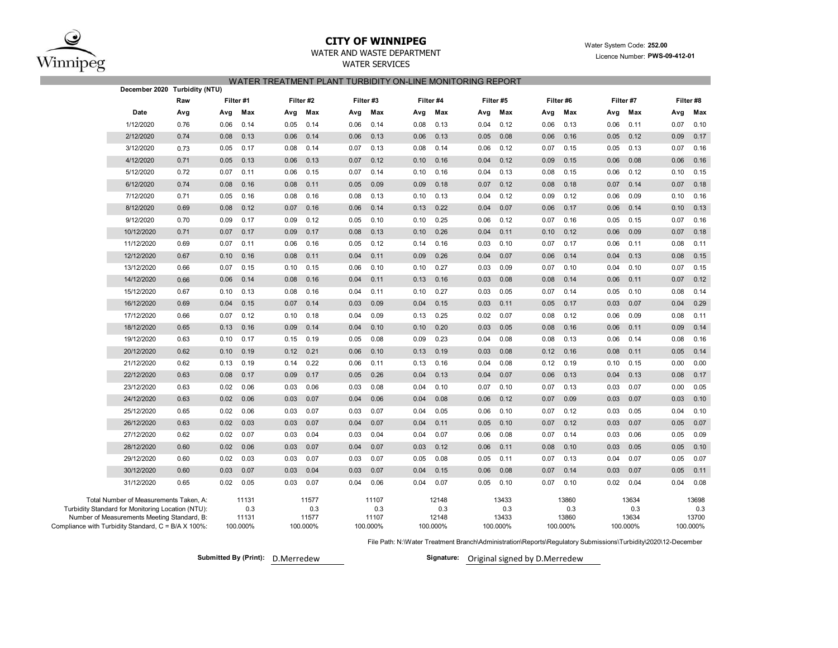

# **CITY OF WINNIPEG**

# WATER AND WASTE DEPARTMENT

WATER SERVICES

## Water System Code: **252.00** Licence Number: **PWS-09-412-01**

|  |  | WATER TREATMENT PLANT TURBIDITY ON-LINE MONITORING REPORT |  |
|--|--|-----------------------------------------------------------|--|
|--|--|-----------------------------------------------------------|--|

| December 2020   Turbidity (NTU)                                                                    |      |           |                   |      |                   |          |                   |      |                   |      |                   |      |                   |           |                   |           |                   |
|----------------------------------------------------------------------------------------------------|------|-----------|-------------------|------|-------------------|----------|-------------------|------|-------------------|------|-------------------|------|-------------------|-----------|-------------------|-----------|-------------------|
|                                                                                                    | Raw  | Filter #1 |                   |      | Filter #2         | Filter#3 |                   |      | Filter #4         |      | Filter #5         |      | Filter #6         | Filter #7 |                   | Filter #8 |                   |
| Date                                                                                               | Avg  | Avg       | Max               | Avg  | Max               | Avg      | Max               | Avg  | Max               | Avg  | Max               | Avg  | Max               | Avg       | Max               | Avg       | Max               |
| 1/12/2020                                                                                          | 0.76 | 0.06      | 0.14              | 0.05 | 0.14              | 0.06     | 0.14              | 0.08 | 0.13              | 0.04 | 0.12              | 0.06 | 0.13              | 0.06      | 0.11              | 0.07      | 0.10              |
| 2/12/2020                                                                                          | 0.74 | 0.08      | 0.13              | 0.06 | 0.14              | 0.06     | 0.13              | 0.06 | 0.13              | 0.05 | 0.08              | 0.06 | 0.16              | 0.05      | 0.12              | 0.09      | 0.17              |
| 3/12/2020                                                                                          | 0.73 | 0.05      | 0.17              | 0.08 | 0.14              | 0.07     | 0.13              | 0.08 | 0.14              | 0.06 | 0.12              | 0.07 | 0.15              | 0.05      | 0.13              | 0.07      | 0.16              |
| 4/12/2020                                                                                          | 0.71 | 0.05      | 0.13              | 0.06 | 0.13              | 0.07     | 0.12              | 0.10 | 0.16              | 0.04 | 0.12              | 0.09 | 0.15              | 0.06      | 0.08              | 0.06      | 0.16              |
| 5/12/2020                                                                                          | 0.72 | 0.07      | 0.11              | 0.06 | 0.15              | 0.07     | 0.14              | 0.10 | 0.16              | 0.04 | 0.13              | 0.08 | 0.15              | 0.06      | 0.12              | 0.10      | 0.15              |
| 6/12/2020                                                                                          | 0.74 | 0.08      | 0.16              | 0.08 | 0.11              | 0.05     | 0.09              | 0.09 | 0.18              | 0.07 | 0.12              | 0.08 | 0.18              | 0.07      | 0.14              | 0.07      | 0.18              |
| 7/12/2020                                                                                          | 0.71 | 0.05      | 0.16              | 0.08 | 0.16              | 0.08     | 0.13              | 0.10 | 0.13              | 0.04 | 0.12              | 0.09 | 0.12              | 0.06      | 0.09              | 0.10      | 0.16              |
| 8/12/2020                                                                                          | 0.69 | 0.08      | 0.12              | 0.07 | 0.16              | 0.06     | 0.14              | 0.13 | 0.22              | 0.04 | 0.07              | 0.06 | 0.17              | 0.06      | 0.14              | 0.10      | 0.13              |
| 9/12/2020                                                                                          | 0.70 | 0.09      | 0.17              | 0.09 | 0.12              | 0.05     | 0.10              | 0.10 | 0.25              | 0.06 | 0.12              | 0.07 | 0.16              | 0.05      | 0.15              | 0.07      | 0.16              |
| 10/12/2020                                                                                         | 0.71 | 0.07      | 0.17              | 0.09 | 0.17              | 0.08     | 0.13              | 0.10 | 0.26              | 0.04 | 0.11              | 0.10 | 0.12              | 0.06      | 0.09              | 0.07      | 0.18              |
| 11/12/2020                                                                                         | 0.69 | 0.07      | 0.11              | 0.06 | 0.16              | 0.05     | 0.12              | 0.14 | 0.16              | 0.03 | 0.10              | 0.07 | 0.17              | 0.06      | 0.11              | 0.08      | 0.11              |
| 12/12/2020                                                                                         | 0.67 | 0.10      | 0.16              | 0.08 | 0.11              | 0.04     | 0.11              | 0.09 | 0.26              | 0.04 | 0.07              | 0.06 | 0.14              | 0.04      | 0.13              | 0.08      | 0.15              |
| 13/12/2020                                                                                         | 0.66 | 0.07      | 0.15              | 0.10 | 0.15              | 0.06     | 0.10              | 0.10 | 0.27              | 0.03 | 0.09              | 0.07 | 0.10              | 0.04      | 0.10              | 0.07      | 0.15              |
| 14/12/2020                                                                                         | 0.66 | 0.06      | 0.14              | 0.08 | 0.16              | 0.04     | 0.11              | 0.13 | 0.16              | 0.03 | 0.08              | 0.08 | 0.14              | 0.06      | 0.11              | 0.07      | 0.12              |
| 15/12/2020                                                                                         | 0.67 | 0.10      | 0.13              | 0.08 | 0.16              | 0.04     | 0.11              | 0.10 | 0.27              | 0.03 | 0.05              | 0.07 | 0.14              | 0.05      | 0.10              | 0.08      | 0.14              |
| 16/12/2020                                                                                         | 0.69 | 0.04      | 0.15              | 0.07 | 0.14              | 0.03     | 0.09              | 0.04 | 0.15              | 0.03 | 0.11              | 0.05 | 0.17              | 0.03      | 0.07              | 0.04      | 0.29              |
| 17/12/2020                                                                                         | 0.66 | 0.07      | 0.12              | 0.10 | 0.18              | 0.04     | 0.09              | 0.13 | 0.25              | 0.02 | 0.07              | 0.08 | 0.12              | 0.06      | 0.09              | 0.08      | 0.11              |
| 18/12/2020                                                                                         | 0.65 | 0.13      | 0.16              | 0.09 | 0.14              | 0.04     | 0.10              | 0.10 | 0.20              | 0.03 | 0.05              | 0.08 | 0.16              | 0.06      | 0.11              | 0.09      | 0.14              |
| 19/12/2020                                                                                         | 0.63 | 0.10      | 0.17              | 0.15 | 0.19              | 0.05     | 0.08              | 0.09 | 0.23              | 0.04 | 0.08              | 0.08 | 0.13              | 0.06      | 0.14              | 0.08      | 0.16              |
| 20/12/2020                                                                                         | 0.62 | 0.10      | 0.19              | 0.12 | 0.21              | 0.06     | 0.10              | 0.13 | 0.19              | 0.03 | 0.08              | 0.12 | 0.16              | 0.08      | 0.11              | 0.05      | 0.14              |
| 21/12/2020                                                                                         | 0.62 | 0.13      | 0.19              | 0.14 | 0.22              | 0.06     | 0.11              | 0.13 | 0.16              | 0.04 | 0.08              | 0.12 | 0.19              | 0.10      | 0.15              | 0.00      | 0.00              |
| 22/12/2020                                                                                         | 0.63 | 0.08      | 0.17              | 0.09 | 0.17              | 0.05     | 0.26              | 0.04 | 0.13              | 0.04 | 0.07              | 0.06 | 0.13              | 0.04      | 0.13              | 0.08      | 0.17              |
| 23/12/2020                                                                                         | 0.63 | 0.02      | 0.06              | 0.03 | 0.06              | 0.03     | 0.08              | 0.04 | 0.10              | 0.07 | 0.10              | 0.07 | 0.13              | 0.03      | 0.07              | 0.00      | 0.05              |
| 24/12/2020                                                                                         | 0.63 | 0.02      | 0.06              | 0.03 | 0.07              | 0.04     | 0.06              | 0.04 | 0.08              | 0.06 | 0.12              | 0.07 | 0.09              | 0.03      | 0.07              | 0.03      | 0.10              |
| 25/12/2020                                                                                         | 0.65 | 0.02      | 0.06              | 0.03 | 0.07              | 0.03     | 0.07              | 0.04 | 0.05              | 0.06 | 0.10              | 0.07 | 0.12              | 0.03      | 0.05              | 0.04      | 0.10              |
| 26/12/2020                                                                                         | 0.63 | 0.02      | 0.03              | 0.03 | 0.07              | 0.04     | 0.07              | 0.04 | 0.11              | 0.05 | 0.10              | 0.07 | 0.12              | 0.03      | 0.07              | 0.05      | 0.07              |
| 27/12/2020                                                                                         | 0.62 | 0.02      | 0.07              | 0.03 | 0.04              | 0.03     | 0.04              | 0.04 | 0.07              | 0.06 | 0.08              | 0.07 | 0.14              | 0.03      | 0.06              | 0.05      | 0.09              |
| 28/12/2020                                                                                         | 0.60 | 0.02      | 0.06              | 0.03 | 0.07              | 0.04     | 0.07              | 0.03 | 0.12              | 0.06 | 0.11              | 0.08 | 0.10              | 0.03      | 0.05              | 0.05      | 0.10              |
| 29/12/2020                                                                                         | 0.60 | 0.02      | 0.03              | 0.03 | 0.07              | 0.03     | 0.07              | 0.05 | 0.08              | 0.05 | 0.11              | 0.07 | 0.13              | 0.04      | 0.07              | 0.05      | 0.07              |
| 30/12/2020                                                                                         | 0.60 | 0.03      | 0.07              | 0.03 | 0.04              | 0.03     | 0.07              | 0.04 | 0.15              | 0.06 | 0.08              | 0.07 | 0.14              | 0.03      | 0.07              | 0.05      | 0.11              |
| 31/12/2020                                                                                         | 0.65 | 0.02      | 0.05              | 0.03 | 0.07              | 0.04     | 0.06              | 0.04 | 0.07              | 0.05 | 0.10              | 0.07 | 0.10              | 0.02      | 0.04              | 0.04      | 0.08              |
| Total Number of Measurements Taken, A:<br>Turbidity Standard for Monitoring Location (NTU):        |      |           | 11131<br>0.3      |      | 11577<br>0.3      |          | 11107<br>0.3      |      | 12148<br>0.3      |      | 13433<br>0.3      |      | 13860<br>0.3      |           | 13634<br>0.3      |           | 13698<br>0.3      |
| Number of Measurements Meeting Standard, B:<br>Compliance with Turbidity Standard, C = B/A X 100%: |      |           | 11131<br>100.000% |      | 11577<br>100.000% |          | 11107<br>100.000% |      | 12148<br>100.000% |      | 13433<br>100.000% |      | 13860<br>100.000% |           | 13634<br>100.000% |           | 13700<br>100.000% |

File Path: N:\Water Treatment Branch\Administration\Reports\Regulatory Submissions\Turbidity\2020\12-December

Submitted By (Print): D.Merredew **D.Merredem Communist Communist Communist Communist Communist Communist Communist Communist Communist Communist Communist Communist Communist Communist Communist Communist Communist Communi**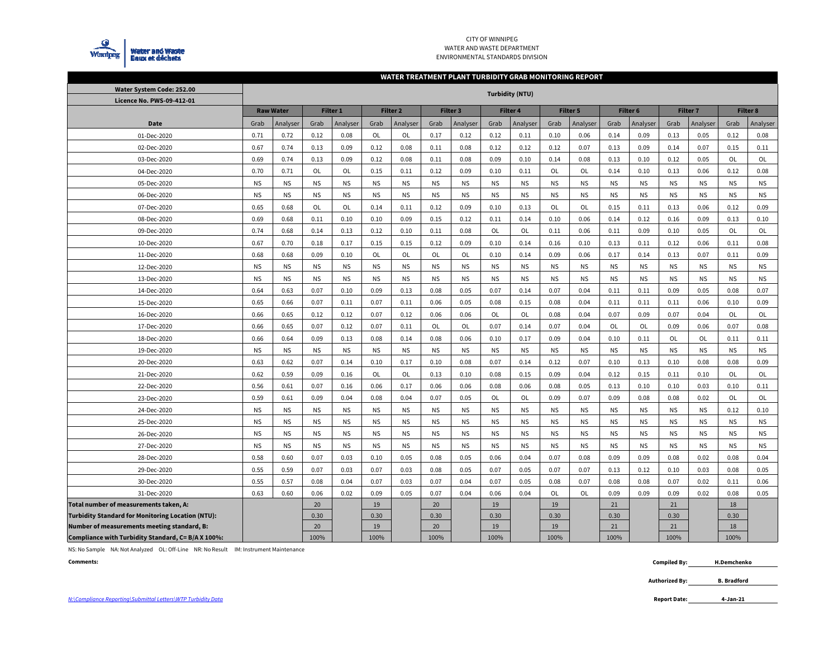

### CITY OF WINNIPEG WATER AND WASTE DEPARTMENTENVIRONMENTAL STANDARDS DIVISION

#### **WATER TREATMENT PLANT TURBIDITY GRAB MONITORING REPORT**

| Water System Code: 252.00                                | <b>Turbidity (NTU)</b> |                  |                 |                 |           |                     |           |           |           |                 |           |                 |           |           |           |                     |           |                 |
|----------------------------------------------------------|------------------------|------------------|-----------------|-----------------|-----------|---------------------|-----------|-----------|-----------|-----------------|-----------|-----------------|-----------|-----------|-----------|---------------------|-----------|-----------------|
| Licence No. PWS-09-412-01                                |                        |                  |                 |                 |           |                     |           |           |           |                 |           |                 |           |           |           |                     |           |                 |
|                                                          |                        | <b>Raw Water</b> |                 | <b>Filter 1</b> |           | Filter <sub>2</sub> |           | Filter 3  |           | <b>Filter 4</b> |           | <b>Filter 5</b> | Filter 6  |           |           | Filter <sub>7</sub> |           | <b>Filter 8</b> |
| Date                                                     | Grab                   | Analyser         | Grab            | Analyser        | Grab      | Analyser            | Grab      | Analyser  | Grab      | Analyser        | Grab      | Analyser        | Grab      | Analyser  | Grab      | Analyser            | Grab      | Analyser        |
| 01-Dec-2020                                              | 0.71                   | 0.72             | 0.12            | 0.08            | OL        | OL                  | 0.17      | 0.12      | 0.12      | 0.11            | 0.10      | 0.06            | 0.14      | 0.09      | 0.13      | 0.05                | 0.12      | 0.08            |
| 02-Dec-2020                                              | 0.67                   | 0.74             | 0.13            | 0.09            | 0.12      | 0.08                | 0.11      | 0.08      | 0.12      | 0.12            | 0.12      | 0.07            | 0.13      | 0.09      | 0.14      | 0.07                | 0.15      | 0.11            |
| 03-Dec-2020                                              | 0.69                   | 0.74             | 0.13            | 0.09            | 0.12      | 0.08                | 0.11      | 0.08      | 0.09      | 0.10            | 0.14      | 0.08            | 0.13      | 0.10      | 0.12      | 0.05                | OL        | OL              |
| 04-Dec-2020                                              | 0.70                   | 0.71             | OL              | OL              | 0.15      | 0.11                | 0.12      | 0.09      | 0.10      | 0.11            | OL        | OL              | 0.14      | 0.10      | 0.13      | 0.06                | 0.12      | 0.08            |
| 05-Dec-2020                                              | <b>NS</b>              | <b>NS</b>        | <b>NS</b>       | <b>NS</b>       | <b>NS</b> | <b>NS</b>           | <b>NS</b> | <b>NS</b> | <b>NS</b> | <b>NS</b>       | <b>NS</b> | ΝS.             | <b>NS</b> | <b>NS</b> | <b>NS</b> | <b>NS</b>           | <b>NS</b> | <b>NS</b>       |
| 06-Dec-2020                                              | <b>NS</b>              | <b>NS</b>        | ΝS.             | <b>NS</b>       | <b>NS</b> | <b>NS</b>           | <b>NS</b> | <b>NS</b> | <b>NS</b> | <b>NS</b>       | <b>NS</b> | ΝS.             | <b>NS</b> | <b>NS</b> | <b>NS</b> | <b>NS</b>           | <b>NS</b> | <b>NS</b>       |
| 07-Dec-2020                                              | 0.65                   | 0.68             | OL              | OL              | 0.14      | 0.11                | 0.12      | 0.09      | 0.10      | 0.13            | OL        | <b>OL</b>       | 0.15      | 0.11      | 0.13      | 0.06                | 0.12      | 0.09            |
| 08-Dec-2020                                              | 0.69                   | 0.68             | 0.11            | 0.10            | 0.10      | 0.09                | 0.15      | 0.12      | 0.11      | 0.14            | 0.10      | 0.06            | 0.14      | 0.12      | 0.16      | 0.09                | 0.13      | 0.10            |
| 09-Dec-2020                                              | 0.74                   | 0.68             | 0.14            | 0.13            | 0.12      | 0.10                | 0.11      | 0.08      | OL        | OL              | 0.11      | 0.06            | 0.11      | 0.09      | 0.10      | 0.05                | OL        | <b>OL</b>       |
| 10-Dec-2020                                              | 0.67                   | 0.70             | 0.18            | 0.17            | 0.15      | 0.15                | 0.12      | 0.09      | 0.10      | 0.14            | 0.16      | 0.10            | 0.13      | 0.11      | 0.12      | 0.06                | 0.11      | 0.08            |
| 11-Dec-2020                                              | 0.68                   | 0.68             | 0.09            | 0.10            | OL        | OL                  | OL        | OL        | 0.10      | 0.14            | 0.09      | 0.06            | 0.17      | 0.14      | 0.13      | 0.07                | 0.11      | 0.09            |
| 12-Dec-2020                                              | <b>NS</b>              | <b>NS</b>        | <b>NS</b>       | <b>NS</b>       | <b>NS</b> | <b>NS</b>           | <b>NS</b> | <b>NS</b> | <b>NS</b> | <b>NS</b>       | <b>NS</b> | <b>NS</b>       | <b>NS</b> | <b>NS</b> | <b>NS</b> | <b>NS</b>           | <b>NS</b> | <b>NS</b>       |
| 13-Dec-2020                                              | <b>NS</b>              | <b>NS</b>        | <b>NS</b>       | <b>NS</b>       | <b>NS</b> | <b>NS</b>           | <b>NS</b> | <b>NS</b> | <b>NS</b> | <b>NS</b>       | <b>NS</b> | <b>NS</b>       | <b>NS</b> | <b>NS</b> | <b>NS</b> | <b>NS</b>           | <b>NS</b> | <b>NS</b>       |
| 14-Dec-2020                                              | 0.64                   | 0.63             | 0.07            | 0.10            | 0.09      | 0.13                | 0.08      | 0.05      | 0.07      | 0.14            | 0.07      | 0.04            | 0.11      | 0.11      | 0.09      | 0.05                | 0.08      | 0.07            |
| 15-Dec-2020                                              | 0.65                   | 0.66             | 0.07            | 0.11            | 0.07      | 0.11                | 0.06      | 0.05      | 0.08      | 0.15            | 0.08      | 0.04            | 0.11      | 0.11      | 0.11      | 0.06                | 0.10      | 0.09            |
| 16-Dec-2020                                              | 0.66                   | 0.65             | 0.12            | 0.12            | 0.07      | 0.12                | 0.06      | 0.06      | OL        | OL              | 0.08      | 0.04            | 0.07      | 0.09      | 0.07      | 0.04                | OL        | OL              |
| 17-Dec-2020                                              | 0.66                   | 0.65             | 0.07            | 0.12            | 0.07      | 0.11                | OL        | OL        | 0.07      | 0.14            | 0.07      | 0.04            | OL        | OL        | 0.09      | 0.06                | 0.07      | 0.08            |
| 18-Dec-2020                                              | 0.66                   | 0.64             | 0.09            | 0.13            | 0.08      | 0.14                | 0.08      | 0.06      | 0.10      | 0.17            | 0.09      | 0.04            | 0.10      | 0.11      | OL        | OL                  | 0.11      | 0.11            |
| 19-Dec-2020                                              | <b>NS</b>              | <b>NS</b>        | <b>NS</b>       | <b>NS</b>       | <b>NS</b> | <b>NS</b>           | <b>NS</b> | <b>NS</b> | <b>NS</b> | <b>NS</b>       | <b>NS</b> | <b>NS</b>       | <b>NS</b> | <b>NS</b> | <b>NS</b> | <b>NS</b>           | <b>NS</b> | <b>NS</b>       |
| 20-Dec-2020                                              | 0.63                   | 0.62             | 0.07            | 0.14            | 0.10      | 0.17                | 0.10      | 0.08      | 0.07      | 0.14            | 0.12      | 0.07            | 0.10      | 0.13      | 0.10      | 0.08                | 0.08      | 0.09            |
| 21-Dec-2020                                              | 0.62                   | 0.59             | 0.09            | 0.16            | OL        | OL                  | 0.13      | 0.10      | 0.08      | 0.15            | 0.09      | 0.04            | 0.12      | 0.15      | 0.11      | 0.10                | OL        | OL              |
| 22-Dec-2020                                              | 0.56                   | 0.61             | 0.07            | 0.16            | 0.06      | 0.17                | 0.06      | 0.06      | 0.08      | 0.06            | 0.08      | 0.05            | 0.13      | 0.10      | 0.10      | 0.03                | 0.10      | 0.11            |
| 23-Dec-2020                                              | 0.59                   | 0.61             | 0.09            | 0.04            | 0.08      | 0.04                | 0.07      | 0.05      | OL        | OL              | 0.09      | 0.07            | 0.09      | 0.08      | 0.08      | 0.02                | OL        | OL              |
| 24-Dec-2020                                              | <b>NS</b>              | <b>NS</b>        | <b>NS</b>       | <b>NS</b>       | <b>NS</b> | <b>NS</b>           | <b>NS</b> | <b>NS</b> | <b>NS</b> | <b>NS</b>       | <b>NS</b> | ΝS.             | <b>NS</b> | <b>NS</b> | <b>NS</b> | <b>NS</b>           | 0.12      | 0.10            |
| 25-Dec-2020                                              | <b>NS</b>              | <b>NS</b>        | <b>NS</b>       | <b>NS</b>       | <b>NS</b> | <b>NS</b>           | <b>NS</b> | <b>NS</b> | <b>NS</b> | <b>NS</b>       | <b>NS</b> | <b>NS</b>       | <b>NS</b> | <b>NS</b> | <b>NS</b> | <b>NS</b>           | <b>NS</b> | <b>NS</b>       |
| 26-Dec-2020                                              | <b>NS</b>              | <b>NS</b>        | <b>NS</b>       | <b>NS</b>       | <b>NS</b> | <b>NS</b>           | <b>NS</b> | <b>NS</b> | <b>NS</b> | <b>NS</b>       | <b>NS</b> | <b>NS</b>       | <b>NS</b> | <b>NS</b> | <b>NS</b> | <b>NS</b>           | <b>NS</b> | <b>NS</b>       |
| 27-Dec-2020                                              | <b>NS</b>              | <b>NS</b>        | <b>NS</b>       | <b>NS</b>       | <b>NS</b> | <b>NS</b>           | <b>NS</b> | <b>NS</b> | <b>NS</b> | <b>NS</b>       | <b>NS</b> | <b>NS</b>       | <b>NS</b> | <b>NS</b> | <b>NS</b> | <b>NS</b>           | <b>NS</b> | <b>NS</b>       |
| 28-Dec-2020                                              | 0.58                   | 0.60             | 0.07            | 0.03            | 0.10      | 0.05                | 0.08      | 0.05      | 0.06      | 0.04            | 0.07      | 0.08            | 0.09      | 0.09      | 0.08      | 0.02                | 0.08      | 0.04            |
| 29-Dec-2020                                              | 0.55                   | 0.59             | 0.07            | 0.03            | 0.07      | 0.03                | 0.08      | 0.05      | 0.07      | 0.05            | 0.07      | 0.07            | 0.13      | 0.12      | 0.10      | 0.03                | 0.08      | 0.05            |
| 30-Dec-2020                                              | 0.55                   | 0.57             | 0.08            | 0.04            | 0.07      | 0.03                | 0.07      | 0.04      | 0.07      | 0.05            | 0.08      | 0.07            | 0.08      | 0.08      | 0.07      | 0.02                | 0.11      | 0.06            |
| 31-Dec-2020                                              | 0.63                   | 0.60             | 0.06            | 0.02            | 0.09      | 0.05                | 0.07      | 0.04      | 0.06      | 0.04            | OL        | OL              | 0.09      | 0.09      | 0.09      | 0.02                | 0.08      | 0.05            |
| Total number of measurements taken, A:                   |                        |                  | 20 <sup>°</sup> |                 | 19        |                     | 20        |           | 19        |                 | 19        |                 | 21        |           | 21        |                     | 18        |                 |
| <b>Turbidity Standard for Monitoring Location (NTU):</b> |                        |                  | 0.30            |                 | 0.30      |                     | 0.30      |           | 0.30      |                 | 0.30      |                 | 0.30      |           | 0.30      |                     | 0.30      |                 |
| Number of measurements meeting standard, B:              |                        |                  | 20              |                 | 19        |                     | 20        |           | 19        |                 | 19        |                 | 21        |           | 21        |                     | 18        |                 |
| Compliance with Turbidity Standard, C= B/A X 100%:       |                        |                  | 100%            |                 | 100%      |                     | 100%      |           | 100%      |                 | 100%      |                 | 100%      |           | 100%      |                     | 100%      |                 |

NS: No Sample NA: Not Analyzed OL: Off-Line NR: No Result IM: Instrument Maintenance

**Comments: Compiled By: H.Demchenko**

> **Authorized By: B. Bradford**

**4-Jan-21**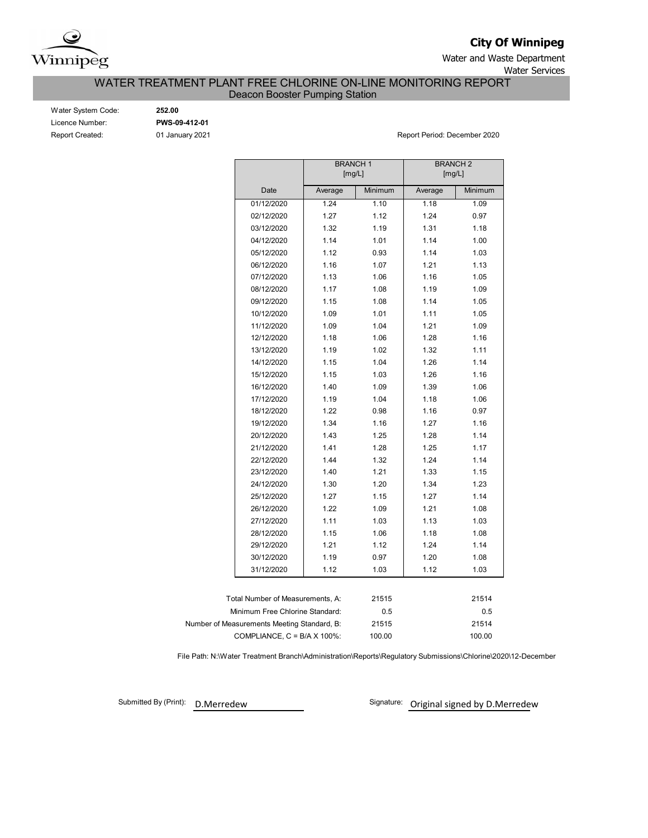

**City Of Winnipeg**

Water and Waste Department Water Services

WATER TREATMENT PLANT FREE CHLORINE ON-LINE MONITORING REPORT

Deacon Booster Pumping Station

| Water System Code:     |
|------------------------|
| Licence Number:        |
| <b>Report Created:</b> |

Water System Code: **252.00** Licence Number: **PWS-09-412-01**

01 January 2021 **Report Period: December 2020** 

|                                             | <b>BRANCH1</b> | [mg/L]  | <b>BRANCH 2</b><br>[mg/L] |         |
|---------------------------------------------|----------------|---------|---------------------------|---------|
| Date                                        | Average        | Minimum | Average                   | Minimum |
| 01/12/2020                                  | 1.24           | 1.10    | 1.18                      | 1.09    |
| 02/12/2020                                  | 1.27           | 1.12    | 1.24                      | 0.97    |
| 03/12/2020                                  | 1.32           | 1.19    | 1.31                      | 1.18    |
| 04/12/2020                                  | 1.14           | 1.01    | 1.14                      | 1.00    |
| 05/12/2020                                  | 1.12           | 0.93    | 1.14                      | 1.03    |
| 06/12/2020                                  | 1.16           | 1.07    | 1.21                      | 1.13    |
| 07/12/2020                                  | 1.13           | 1.06    | 1.16                      | 1.05    |
| 08/12/2020                                  | 1.17           | 1.08    | 1.19                      | 1.09    |
| 09/12/2020                                  | 1.15           | 1.08    | 1.14                      | 1.05    |
| 10/12/2020                                  | 1.09           | 1.01    | 1.11                      | 1.05    |
| 11/12/2020                                  | 1.09           | 1.04    | 1.21                      | 1.09    |
| 12/12/2020                                  | 1.18           | 1.06    | 1.28                      | 1.16    |
| 13/12/2020                                  | 1.19           | 1.02    | 1.32                      | 1.11    |
| 14/12/2020                                  | 1.15           | 1.04    | 1.26                      | 1.14    |
| 15/12/2020                                  | 1.15           | 1.03    | 1.26                      | 1.16    |
| 16/12/2020                                  | 1.40           | 1.09    | 1.39                      | 1.06    |
| 17/12/2020                                  | 1.19           | 1.04    | 1.18                      | 1.06    |
| 18/12/2020                                  | 1.22           | 0.98    | 1.16                      | 0.97    |
| 19/12/2020                                  | 1.34           | 1.16    | 1.27                      | 1.16    |
| 20/12/2020                                  | 1.43           | 1.25    | 1.28                      | 1.14    |
| 21/12/2020                                  | 1.41           | 1.28    | 1.25                      | 1.17    |
| 22/12/2020                                  | 1.44           | 1.32    | 1.24                      | 1.14    |
| 23/12/2020                                  | 1.40           | 1.21    | 1.33                      | 1.15    |
| 24/12/2020                                  | 1.30           | 1.20    | 1.34                      | 1.23    |
| 25/12/2020                                  | 1.27           | 1.15    | 1.27                      | 1.14    |
| 26/12/2020                                  | 1.22           | 1.09    | 1.21                      | 1.08    |
| 27/12/2020                                  | 1.11           | 1.03    | 1.13                      | 1.03    |
| 28/12/2020                                  | 1.15           | 1.06    | 1.18                      | 1.08    |
| 29/12/2020                                  | 1.21           | 1.12    | 1.24                      | 1.14    |
| 30/12/2020                                  | 1.19           | 0.97    | 1.20                      | 1.08    |
| 31/12/2020                                  | 1.12           | 1.03    | 1.12                      | 1.03    |
|                                             |                |         |                           |         |
| Total Number of Measurements, A:            |                | 21515   |                           | 21514   |
| Minimum Free Chlorine Standard:             |                | 0.5     |                           | 0.5     |
| Number of Measurements Meeting Standard, B: |                | 21515   |                           | 21514   |
| COMPLIANCE, $C = B/A \times 100\%$ :        |                | 100.00  | 100.00                    |         |

File Path: N:\Water Treatment Branch\Administration\Reports\Regulatory Submissions\Chlorine\2020\12-December

Submitted By (Print): D.Merredew

Signature: Original signed by D.Merredew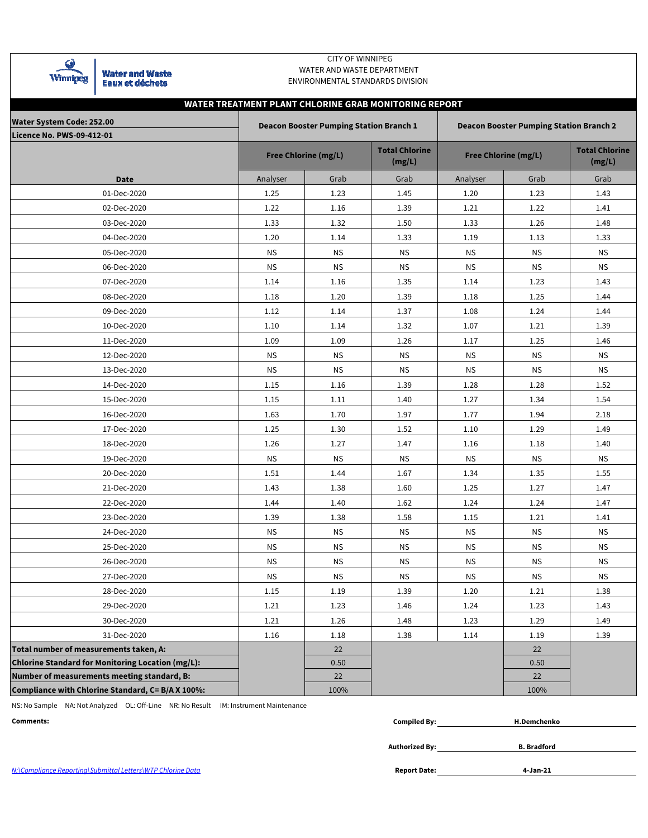

## CITY OF WINNIPEG WATER AND WASTE DEPARTMENT ENVIRONMENTAL STANDARDS DIVISION

# **WATER TREATMENT PLANT CHLORINE GRAB MONITORING REPORT**

| Water System Code: 252.00                                |           | <b>Deacon Booster Pumping Station Branch 1</b> |                                 | <b>Deacon Booster Pumping Station Branch 2</b> |                             |                                 |  |  |  |  |  |
|----------------------------------------------------------|-----------|------------------------------------------------|---------------------------------|------------------------------------------------|-----------------------------|---------------------------------|--|--|--|--|--|
| <b>Licence No. PWS-09-412-01</b>                         |           | <b>Free Chlorine (mg/L)</b>                    | <b>Total Chlorine</b><br>(mg/L) |                                                | <b>Free Chlorine (mg/L)</b> | <b>Total Chlorine</b><br>(mg/L) |  |  |  |  |  |
| <b>Date</b>                                              | Analyser  | Grab                                           | Grab                            | Analyser                                       | Grab                        | Grab                            |  |  |  |  |  |
| 01-Dec-2020                                              | 1.25      | 1.23                                           | 1.45                            | 1.20                                           | 1.23                        | 1.43                            |  |  |  |  |  |
| 02-Dec-2020                                              | 1.22      | 1.16                                           | 1.39                            | 1.21                                           | 1.22                        | 1.41                            |  |  |  |  |  |
| 03-Dec-2020                                              | 1.33      | 1.32                                           | 1.50                            | 1.33                                           | 1.26                        | 1.48                            |  |  |  |  |  |
| 04-Dec-2020                                              | 1.20      | 1.14                                           | 1.33                            | 1.19                                           | 1.13                        | 1.33                            |  |  |  |  |  |
| 05-Dec-2020                                              | <b>NS</b> | <b>NS</b>                                      | <b>NS</b>                       | <b>NS</b>                                      | <b>NS</b>                   | <b>NS</b>                       |  |  |  |  |  |
| 06-Dec-2020                                              | ΝS        | <b>NS</b>                                      | <b>NS</b>                       | <b>NS</b>                                      | <b>NS</b>                   | <b>NS</b>                       |  |  |  |  |  |
| 07-Dec-2020                                              | 1.14      | 1.16                                           | 1.35                            | 1.14                                           | 1.23                        | 1.43                            |  |  |  |  |  |
| 08-Dec-2020                                              | 1.18      | 1.20                                           | 1.39                            | 1.18                                           | 1.25                        | 1.44                            |  |  |  |  |  |
| 09-Dec-2020                                              | 1.12      | 1.14                                           | 1.37                            | 1.08                                           | 1.24                        | 1.44                            |  |  |  |  |  |
| 10-Dec-2020                                              | 1.10      | 1.14                                           | 1.32                            | 1.07                                           | 1.21                        | 1.39                            |  |  |  |  |  |
| 11-Dec-2020                                              | 1.09      | 1.09                                           | 1.26                            | 1.17                                           | 1.25                        | 1.46                            |  |  |  |  |  |
| 12-Dec-2020                                              | <b>NS</b> | <b>NS</b>                                      | <b>NS</b>                       | <b>NS</b>                                      | <b>NS</b>                   | <b>NS</b>                       |  |  |  |  |  |
| 13-Dec-2020                                              | <b>NS</b> | <b>NS</b>                                      | <b>NS</b>                       | <b>NS</b>                                      | <b>NS</b>                   | <b>NS</b>                       |  |  |  |  |  |
| 14-Dec-2020                                              | 1.15      | 1.16                                           | 1.39                            | 1.28                                           | 1.28                        | 1.52                            |  |  |  |  |  |
| 15-Dec-2020                                              | 1.15      | 1.11                                           | 1.40                            | 1.27                                           | 1.34                        | 1.54                            |  |  |  |  |  |
| 16-Dec-2020                                              | 1.63      | 1.70                                           | 1.97                            | 1.77                                           | 1.94                        | 2.18                            |  |  |  |  |  |
| 17-Dec-2020                                              | 1.25      | 1.30                                           | 1.52                            | 1.10                                           | 1.29                        | 1.49                            |  |  |  |  |  |
| 18-Dec-2020                                              | 1.26      | 1.27                                           | 1.47                            | 1.16                                           | 1.18                        | 1.40                            |  |  |  |  |  |
| 19-Dec-2020                                              | ΝS        | ΝS                                             | <b>NS</b>                       | ΝS                                             | ΝS                          | ΝS                              |  |  |  |  |  |
| 20-Dec-2020                                              | 1.51      | 1.44                                           | 1.67                            | 1.34                                           | 1.35                        | 1.55                            |  |  |  |  |  |
| 21-Dec-2020                                              | 1.43      | 1.38                                           | 1.60                            | 1.25                                           | 1.27                        | 1.47                            |  |  |  |  |  |
| 22-Dec-2020                                              | 1.44      | 1.40                                           | 1.62                            | 1.24                                           | 1.24                        | 1.47                            |  |  |  |  |  |
| 23-Dec-2020                                              | 1.39      | 1.38                                           | 1.58                            | 1.15                                           | 1.21                        | 1.41                            |  |  |  |  |  |
| 24-Dec-2020                                              | <b>NS</b> | <b>NS</b>                                      | <b>NS</b>                       | <b>NS</b>                                      | <b>NS</b>                   | <b>NS</b>                       |  |  |  |  |  |
| 25-Dec-2020                                              | ΝS        | ΝS                                             | <b>NS</b>                       | ΝS                                             | ΝS                          | <b>NS</b>                       |  |  |  |  |  |
| 26-Dec-2020                                              | <b>NS</b> | <b>NS</b>                                      | <b>NS</b>                       | <b>NS</b>                                      | <b>NS</b>                   | <b>NS</b>                       |  |  |  |  |  |
| 27-Dec-2020                                              | <b>NS</b> | <b>NS</b>                                      | <b>NS</b>                       | <b>NS</b>                                      | <b>NS</b>                   | <b>NS</b>                       |  |  |  |  |  |
| 28-Dec-2020                                              | 1.15      | 1.19                                           | 1.39                            | 1.20                                           | 1.21                        | 1.38                            |  |  |  |  |  |
| 29-Dec-2020                                              | 1.21      | 1.23                                           | 1.46                            | 1.24                                           | 1.23                        | 1.43                            |  |  |  |  |  |
| 30-Dec-2020                                              | 1.21      | 1.26                                           | 1.48                            | 1.23                                           | 1.29                        | 1.49                            |  |  |  |  |  |
| 31-Dec-2020                                              | 1.16      | 1.18                                           | 1.38                            | 1.14                                           | 1.19                        | 1.39                            |  |  |  |  |  |
| Total number of measurements taken, A:                   |           | 22                                             |                                 |                                                | 22                          |                                 |  |  |  |  |  |
| <b>Chlorine Standard for Monitoring Location (mg/L):</b> |           | 0.50                                           |                                 |                                                | 0.50                        |                                 |  |  |  |  |  |
| Number of measurements meeting standard, B:              |           | 22                                             |                                 |                                                | 22                          |                                 |  |  |  |  |  |
| Compliance with Chlorine Standard, C= B/A X 100%:        |           | 100%                                           |                                 |                                                | 100%                        |                                 |  |  |  |  |  |

NS: No Sample NA: Not Analyzed OL: Off-Line NR: No Result IM: Instrument Maintenance

**Comments: Compiled By:**

| npiled By: | H.Demchenko |
|------------|-------------|
|            |             |

**Authorized By:**

**B. Bradford**

**4-Jan-21**